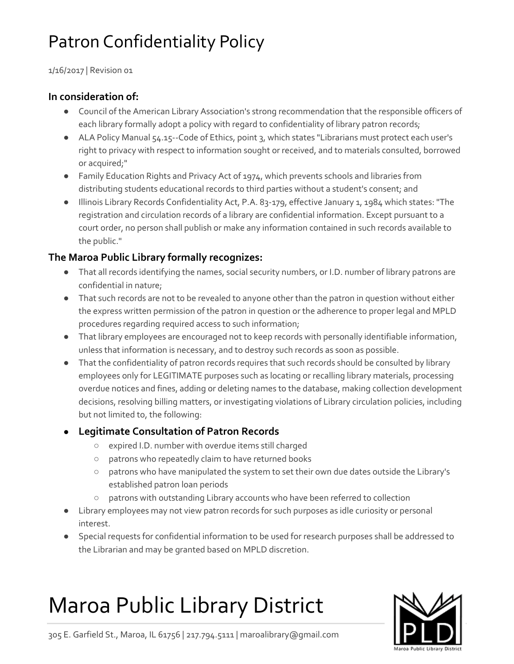# Patron Confidentiality Policy

1/16/2017 | Revision 01

### **In consideration of:**

- Council of the American Library Association's strong recommendation that the responsible officers of each library formally adopt a policy with regard to confidentiality of library patron records;
- ALA Policy Manual 54.15 -- Code of Ethics, point 3, which states "Librarians must protect each user's right to privacy with respect to information sought or received, and to materials consulted, borrowed or acquired;"
- Family Education Rights and Privacy Act of 1974, which prevents schools and libraries from distributing students educational records to third parties without a student's consent; and
- Illinois Library Records Confidentiality Act, P.A. 83-179, effective January 1, 1984 which states: "The registration and circulation records of a library are confidential information. Except pursuant to a court order, no person shall publish or make any information contained in such records available to the public."

### **The Maroa Public Library formally recognizes:**

- That all records identifying the names, social security numbers, or I.D. number of library patrons are confidential in nature;
- That such records are not to be revealed to anyone other than the patron in question without either the express written permission of the patron in question or the adherence to proper legal and MPLD procedures regarding required access to such information;
- That library employees are encouraged not to keep records with personally identifiable information, unless that information is necessary, and to destroy such records as soon as possible.
- That the confidentiality of patron records requires that such records should be consulted by library employees only for LEGITIMATE purposes such as locating or recalling library materials, processing overdue notices and fines, adding or deleting names to the database, making collection development decisions, resolving billing matters, or investigating violations of Library circulation policies, including but not limited to, the following:

### ● **Legitimate Consultation of Patron Records**

- expired I.D. number with overdue items still charged
- patrons who repeatedly claim to have returned books
- patrons who have manipulated the system to set their own due dates outside the Library's established patron loan periods
- patrons with outstanding Library accounts who have been referred to collection
- Library employees may not view patron records for such purposes as idle curiosity or personal interest.
- Special requests for confidential information to be used for research purposes shall be addressed to the Librarian and may be granted based on MPLD discretion.

# Maroa Public Library District



305 E. Garfield St., Maroa, IL 61756 | 217.794.5111 | maroalibrary@gmail.com